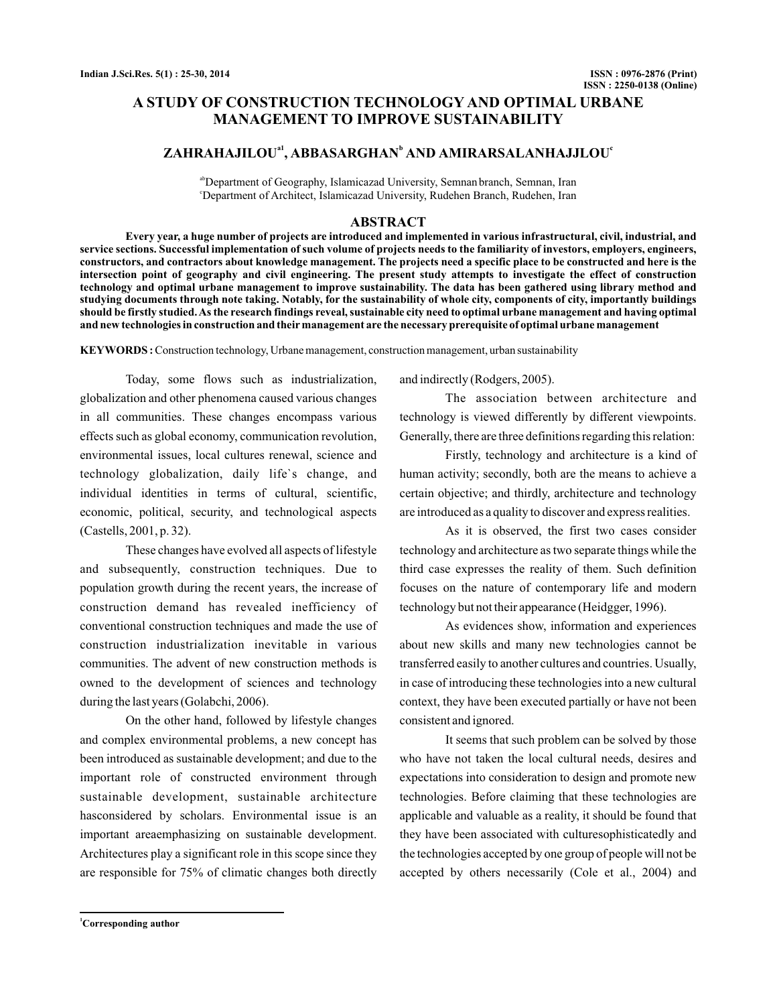# **A STUDY OF CONSTRUCTION TECHNOLOGY AND OPTIMAL URBANE MANAGEMENT TO IMPROVE SUSTAINABILITY**

# $\mathbf{ZAHRAHAJILOU}^{a1}$ ,  $\mathbf{ABBASARGHAN}^{b}$  and  $\mathbf{AMIRARSALANHAJJLOU}^{c1}$

<sup>ab</sup>Department of Geography, Islamicazad University, Semnan branch, Semnan, Iran c Department of Architect, Islamicazad University, Rudehen Branch, Rudehen, Iran

# **ABSTRACT**

**Every year, a huge number of projects are introduced and implemented in various infrastructural, civil, industrial, and service sections. Successful implementation of such volume of projects needs to the familiarity of investors, employers, engineers, constructors, and contractors about knowledge management. The projects need a specific place to be constructed and here is the intersection point of geography and civil engineering. The present study attempts to investigate the effect of construction technology and optimal urbane management to improve sustainability. The data has been gathered using library method and studying documents through note taking. Notably, for the sustainability of whole city, components of city, importantly buildings should be firstly studied.As the research findings reveal, sustainable city need to optimal urbane management and having optimal and new technologies in construction and their management are the necessary prerequisite of optimal urbane management**

**KEYWORDS :**Construction technology, Urbane management, construction management, urban sustainability

Today, some flows such as industrialization, globalization and other phenomena caused various changes in all communities. These changes encompass various effects such as global economy, communication revolution, environmental issues, local cultures renewal, science and technology globalization, daily life`s change, and individual identities in terms of cultural, scientific, economic, political, security, and technological aspects (Castells, 2001, p. 32).

These changes have evolved all aspects of lifestyle and subsequently, construction techniques. Due to population growth during the recent years, the increase of construction demand has revealed inefficiency of conventional construction techniques and made the use of construction industrialization inevitable in various communities. The advent of new construction methods is owned to the development of sciences and technology during the last years (Golabchi, 2006).

On the other hand, followed by lifestyle changes and complex environmental problems, a new concept has been introduced as sustainable development; and due to the important role of constructed environment through sustainable development, sustainable architecture hasconsidered by scholars. Environmental issue is an important areaemphasizing on sustainable development. Architectures play a significant role in this scope since they are responsible for 75% of climatic changes both directly and indirectly (Rodgers, 2005).

The association between architecture and technology is viewed differently by different viewpoints. Generally, there are three definitions regarding this relation:

Firstly, technology and architecture is a kind of human activity; secondly, both are the means to achieve a certain objective; and thirdly, architecture and technology are introduced as a quality to discover and express realities.

As it is observed, the first two cases consider technology and architecture as two separate things while the third case expresses the reality of them. Such definition focuses on the nature of contemporary life and modern technology but not their appearance (Heidgger, 1996).

As evidences show, information and experiences about new skills and many new technologies cannot be transferred easily to another cultures and countries. Usually, in case of introducing these technologies into a new cultural context, they have been executed partially or have not been consistent and ignored.

It seems that such problem can be solved by those who have not taken the local cultural needs, desires and expectations into consideration to design and promote new technologies. Before claiming that these technologies are applicable and valuable as a reality, it should be found that they have been associated with culturesophisticatedly and the technologies accepted by one group of people will not be accepted by others necessarily (Cole et al., 2004) and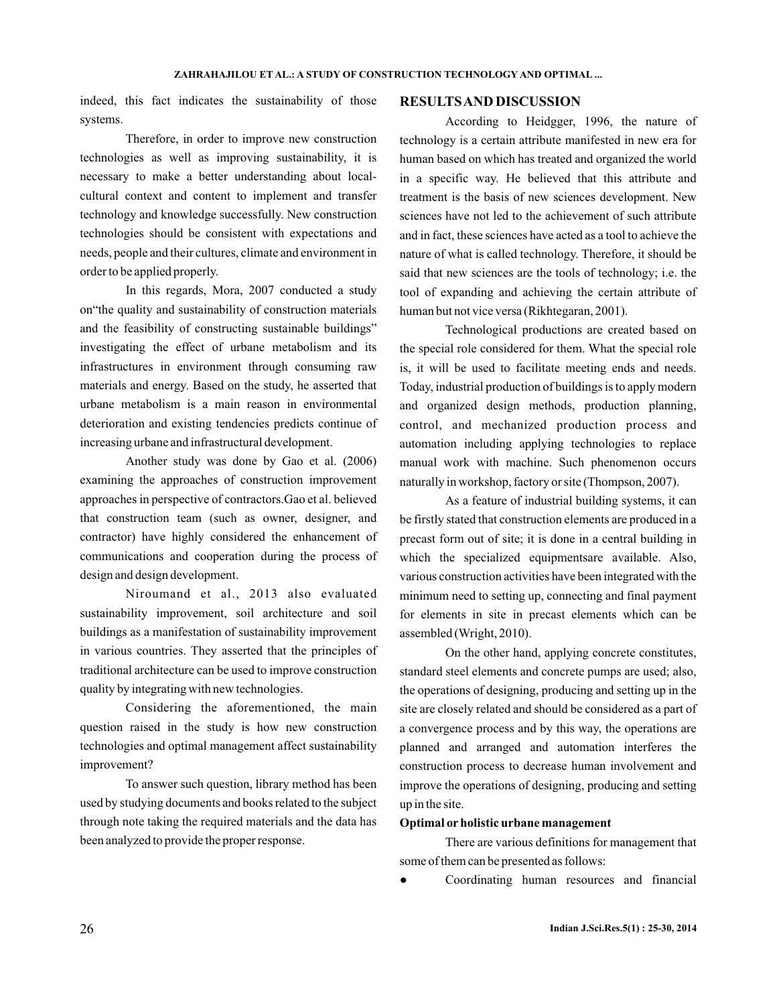indeed, this fact indicates the sustainability of those systems.

Therefore, in order to improve new construction technologies as well as improving sustainability, it is necessary to make a better understanding about localcultural context and content to implement and transfer technology and knowledge successfully. New construction technologies should be consistent with expectations and needs, people and their cultures, climate and environment in order to be applied properly.

In this regards, Mora, 2007 conducted a study on"the quality and sustainability of construction materials and the feasibility of constructing sustainable buildings" investigating the effect of urbane metabolism and its infrastructures in environment through consuming raw materials and energy. Based on the study, he asserted that urbane metabolism is a main reason in environmental deterioration and existing tendencies predicts continue of increasing urbane and infrastructural development.

Another study was done by Gao et al. (2006) examining the approaches of construction improvement approaches in perspective of contractors.Gao et al. believed that construction team (such as owner, designer, and contractor) have highly considered the enhancement of communications and cooperation during the process of design and design development.

Niroumand et al., 2013 also evaluated sustainability improvement, soil architecture and soil buildings as a manifestation of sustainability improvement in various countries. They asserted that the principles of traditional architecture can be used to improve construction quality by integrating with new technologies.

Considering the aforementioned, the main question raised in the study is how new construction technologies and optimal management affect sustainability improvement?

To answer such question, library method has been used by studying documents and books related to the subject through note taking the required materials and the data has been analyzed to provide the proper response.

# **RESULTSAND DISCUSSION**

According to Heidgger, 1996, the nature of technology is a certain attribute manifested in new era for human based on which has treated and organized the world in a specific way. He believed that this attribute and treatment is the basis of new sciences development. New sciences have not led to the achievement of such attribute and in fact, these sciences have acted as a tool to achieve the nature of what is called technology. Therefore, it should be said that new sciences are the tools of technology; i.e. the tool of expanding and achieving the certain attribute of human but not vice versa (Rikhtegaran, 2001).

Technological productions are created based on the special role considered for them. What the special role is, it will be used to facilitate meeting ends and needs. Today, industrial production of buildings is to apply modern and organized design methods, production planning, control, and mechanized production process and automation including applying technologies to replace manual work with machine. Such phenomenon occurs naturally in workshop, factory or site (Thompson, 2007).

As a feature of industrial building systems, it can be firstly stated that construction elements are produced in a precast form out of site; it is done in a central building in which the specialized equipmentsare available. Also, various construction activities have been integrated with the minimum need to setting up, connecting and final payment for elements in site in precast elements which can be assembled (Wright, 2010).

On the other hand, applying concrete constitutes, standard steel elements and concrete pumps are used; also, the operations of designing, producing and setting up in the site are closely related and should be considered as a part of a convergence process and by this way, the operations are planned and arranged and automation interferes the construction process to decrease human involvement and improve the operations of designing, producing and setting up in the site.

### **Optimal or holistic urbane management**

There are various definitions for management that some of them can be presented as follows:

Coordinating human resources and financial ●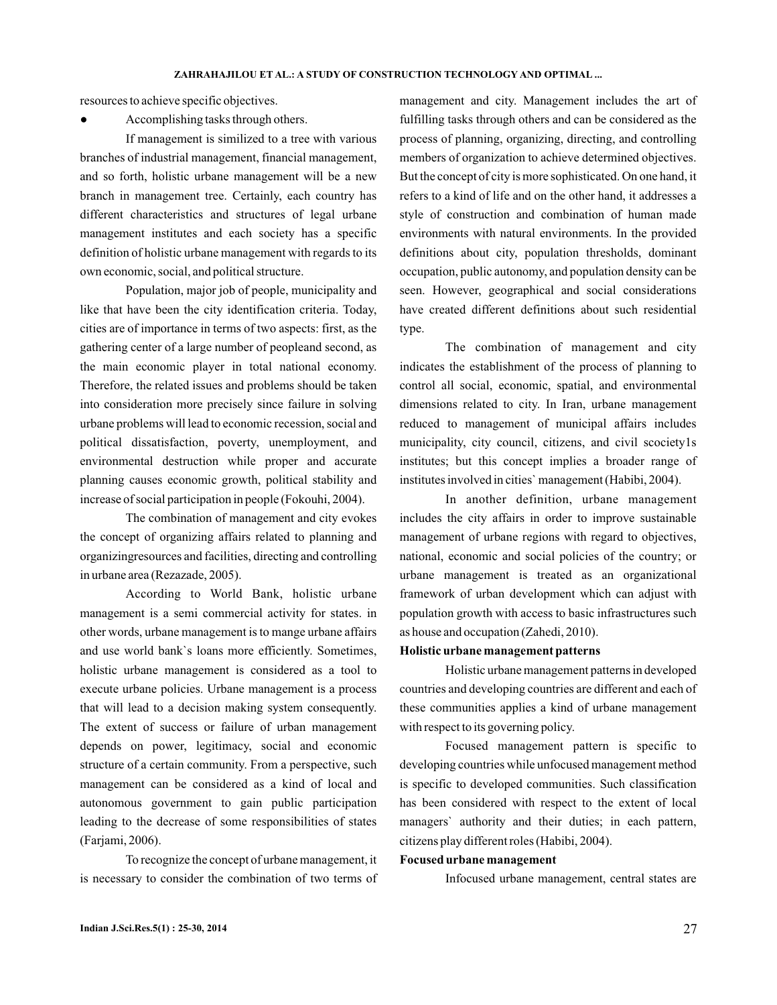resources to achieve specific objectives.

Accomplishing tasks through others.

If management is similized to a tree with various branches of industrial management, financial management, and so forth, holistic urbane management will be a new branch in management tree. Certainly, each country has different characteristics and structures of legal urbane management institutes and each society has a specific definition of holistic urbane management with regards to its own economic, social, and political structure.

Population, major job of people, municipality and like that have been the city identification criteria. Today, cities are of importance in terms of two aspects: first, as the gathering center of a large number of peopleand second, as the main economic player in total national economy. Therefore, the related issues and problems should be taken into consideration more precisely since failure in solving urbane problems will lead to economic recession, social and political dissatisfaction, poverty, unemployment, and environmental destruction while proper and accurate planning causes economic growth, political stability and increase of social participation in people (Fokouhi, 2004).

The combination of management and city evokes the concept of organizing affairs related to planning and organizingresources and facilities, directing and controlling in urbane area (Rezazade, 2005).

According to World Bank, holistic urbane management is a semi commercial activity for states. in other words, urbane management is to mange urbane affairs and use world bank`s loans more efficiently. Sometimes, holistic urbane management is considered as a tool to execute urbane policies. Urbane management is a process that will lead to a decision making system consequently. The extent of success or failure of urban management depends on power, legitimacy, social and economic structure of a certain community. From a perspective, such management can be considered as a kind of local and autonomous government to gain public participation leading to the decrease of some responsibilities of states (Farjami, 2006).

To recognize the concept of urbane management, it is necessary to consider the combination of two terms of management and city. Management includes the art of fulfilling tasks through others and can be considered as the process of planning, organizing, directing, and controlling members of organization to achieve determined objectives. But the concept of city is more sophisticated. On one hand, it refers to a kind of life and on the other hand, it addresses a style of construction and combination of human made environments with natural environments. In the provided definitions about city, population thresholds, dominant occupation, public autonomy, and population density can be seen. However, geographical and social considerations have created different definitions about such residential type.

The combination of management and city indicates the establishment of the process of planning to control all social, economic, spatial, and environmental dimensions related to city. In Iran, urbane management reduced to management of municipal affairs includes municipality, city council, citizens, and civil scociety1s institutes; but this concept implies a broader range of institutes involved in cities` management (Habibi, 2004).

In another definition, urbane management includes the city affairs in order to improve sustainable management of urbane regions with regard to objectives, national, economic and social policies of the country; or urbane management is treated as an organizational framework of urban development which can adjust with population growth with access to basic infrastructures such as house and occupation (Zahedi, 2010).

#### **Holistic urbane management patterns**

Holistic urbane management patterns in developed countries and developing countries are different and each of these communities applies a kind of urbane management with respect to its governing policy.

Focused management pattern is specific to developing countries while unfocused management method is specific to developed communities. Such classification has been considered with respect to the extent of local managers` authority and their duties; in each pattern, citizens play different roles (Habibi, 2004).

### **Focused urbane management**

Infocused urbane management, central states are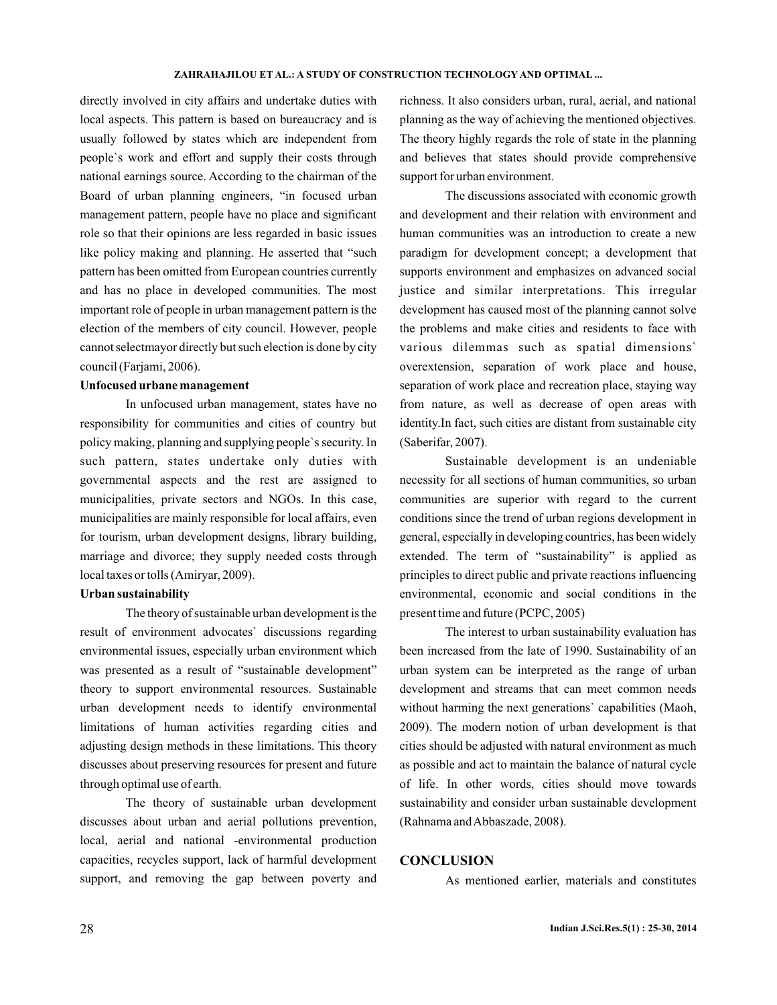#### **ZAHRAHAJILOU ET AL.: A STUDY OF CONSTRUCTION TECHNOLOGY AND OPTIMAL ...**

directly involved in city affairs and undertake duties with local aspects. This pattern is based on bureaucracy and is usually followed by states which are independent from people`s work and effort and supply their costs through national earnings source. According to the chairman of the Board of urban planning engineers, "in focused urban management pattern, people have no place and significant role so that their opinions are less regarded in basic issues like policy making and planning. He asserted that "such pattern has been omitted from European countries currently and has no place in developed communities. The most important role of people in urban management pattern is the election of the members of city council. However, people cannot selectmayor directly but such election is done by city council (Farjami, 2006).

### **Unfocused urbane management**

In unfocused urban management, states have no responsibility for communities and cities of country but policy making, planning and supplying people`s security. In such pattern, states undertake only duties with governmental aspects and the rest are assigned to municipalities, private sectors and NGOs. In this case, municipalities are mainly responsible for local affairs, even for tourism, urban development designs, library building, marriage and divorce; they supply needed costs through local taxes or tolls (Amiryar, 2009).

## **Urban sustainability**

The theory of sustainable urban development is the result of environment advocates` discussions regarding environmental issues, especially urban environment which was presented as a result of "sustainable development" theory to support environmental resources. Sustainable urban development needs to identify environmental limitations of human activities regarding cities and adjusting design methods in these limitations. This theory discusses about preserving resources for present and future through optimal use of earth.

The theory of sustainable urban development discusses about urban and aerial pollutions prevention, local, aerial and national -environmental production capacities, recycles support, lack of harmful development support, and removing the gap between poverty and

richness. It also considers urban, rural, aerial, and national planning as the way of achieving the mentioned objectives. The theory highly regards the role of state in the planning and believes that states should provide comprehensive support for urban environment.

The discussions associated with economic growth and development and their relation with environment and human communities was an introduction to create a new paradigm for development concept; a development that supports environment and emphasizes on advanced social justice and similar interpretations. This irregular development has caused most of the planning cannot solve the problems and make cities and residents to face with various dilemmas such as spatial dimensions` overextension, separation of work place and house, separation of work place and recreation place, staying way from nature, as well as decrease of open areas with identity.In fact, such cities are distant from sustainable city (Saberifar, 2007).

Sustainable development is an undeniable necessity for all sections of human communities, so urban communities are superior with regard to the current conditions since the trend of urban regions development in general, especially in developing countries, has been widely extended. The term of "sustainability" is applied as principles to direct public and private reactions influencing environmental, economic and social conditions in the present time and future (PCPC, 2005)

The interest to urban sustainability evaluation has been increased from the late of 1990. Sustainability of an urban system can be interpreted as the range of urban development and streams that can meet common needs without harming the next generations' capabilities (Maoh, 2009). The modern notion of urban development is that cities should be adjusted with natural environment as much as possible and act to maintain the balance of natural cycle of life. In other words, cities should move towards sustainability and consider urban sustainable development (Rahnama andAbbaszade, 2008).

## **CONCLUSION**

As mentioned earlier, materials and constitutes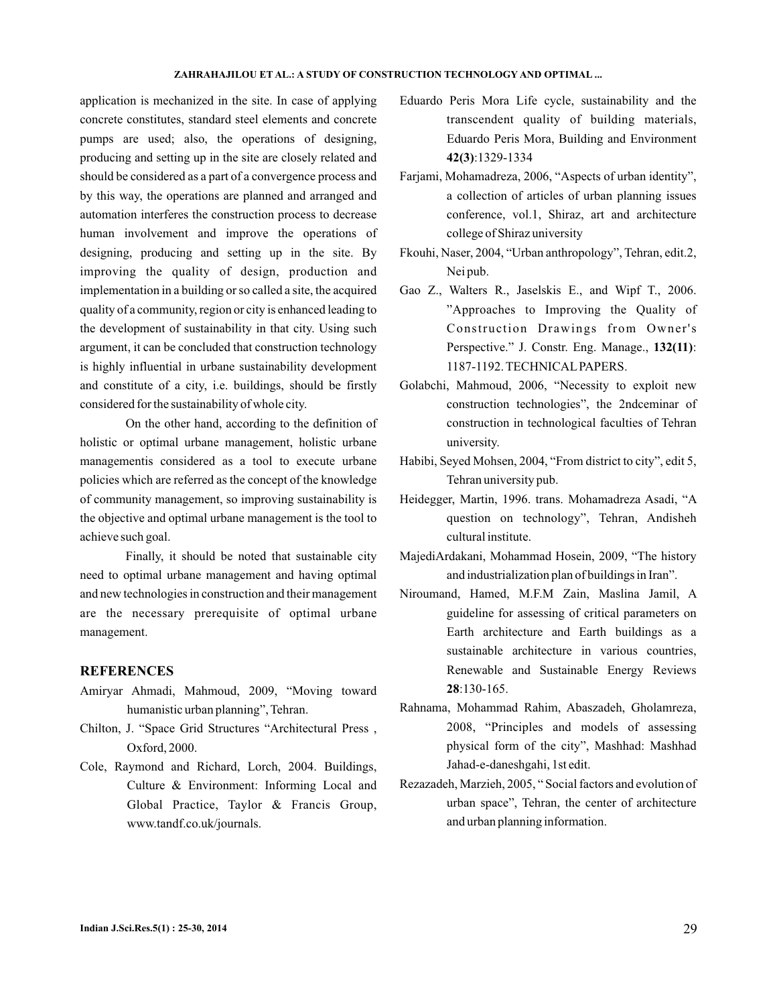### **ZAHRAHAJILOU ET AL.: A STUDY OF CONSTRUCTION TECHNOLOGY AND OPTIMAL ...**

application is mechanized in the site. In case of applying concrete constitutes, standard steel elements and concrete pumps are used; also, the operations of designing, producing and setting up in the site are closely related and should be considered as a part of a convergence process and by this way, the operations are planned and arranged and automation interferes the construction process to decrease human involvement and improve the operations of designing, producing and setting up in the site. By improving the quality of design, production and implementation in a building or so called a site, the acquired quality of a community, region or city is enhanced leading to the development of sustainability in that city. Using such argument, it can be concluded that construction technology is highly influential in urbane sustainability development and constitute of a city, i.e. buildings, should be firstly considered for the sustainability of whole city.

On the other hand, according to the definition of holistic or optimal urbane management, holistic urbane managementis considered as a tool to execute urbane policies which are referred as the concept of the knowledge of community management, so improving sustainability is the objective and optimal urbane management is the tool to achieve such goal.

Finally, it should be noted that sustainable city need to optimal urbane management and having optimal and new technologies in construction and their management are the necessary prerequisite of optimal urbane management.

# **REFERENCES**

- Amiryar Ahmadi, Mahmoud, 2009, "Moving toward humanistic urban planning", Tehran.
- Chilton, J. "Space Grid Structures "Architectural Press , Oxford, 2000.
- Cole, Raymond and Richard, Lorch, 2004. Buildings, Culture & Environment: Informing Local and Global Practice, Taylor & Francis Group, www.tandf.co.uk/journals.
- Eduardo Peris Mora Life cycle, sustainability and the transcendent quality of building materials, Eduardo Peris Mora, Building and Environment :1329-1334 **42(3)**
- Farjami, Mohamadreza, 2006, "Aspects of urban identity", a collection of articles of urban planning issues conference, vol.1, Shiraz, art and architecture college of Shiraz university
- Fkouhi, Naser, 2004, "Urban anthropology", Tehran, edit.2, Nei pub.
- Gao Z., Walters R., Jaselskis E., and Wipf T., 2006. "Approaches to Improving the Quality of Construction Drawings from Owner's Perspective." J. Constr. Eng. Manage., 132(11): 1187-1192. TECHNICALPAPERS.
- Golabchi, Mahmoud, 2006, "Necessity to exploit new construction technologies", the 2ndceminar of construction in technological faculties of Tehran university.
- Habibi, Seyed Mohsen, 2004, "From district to city", edit 5, Tehran university pub.
- Heidegger, Martin, 1996. trans. Mohamadreza Asadi, "A question on technology", Tehran, Andisheh cultural institute.
- MajediArdakani, Mohammad Hosein, 2009, "The history and industrialization plan of buildings in Iran".
- Niroumand, Hamed, M.F.M Zain, Maslina Jamil, A guideline for assessing of critical parameters on Earth architecture and Earth buildings as a sustainable architecture in various countries, Renewable and Sustainable Energy Reviews :130-165. **28**
- Rahnama, Mohammad Rahim, Abaszadeh, Gholamreza, 2008, "Principles and models of assessing physical form of the city", Mashhad: Mashhad Jahad-e-daneshgahi, 1st edit.
- Rezazadeh, Marzieh, 2005, " Social factors and evolution of urban space", Tehran, the center of architecture and urban planning information.